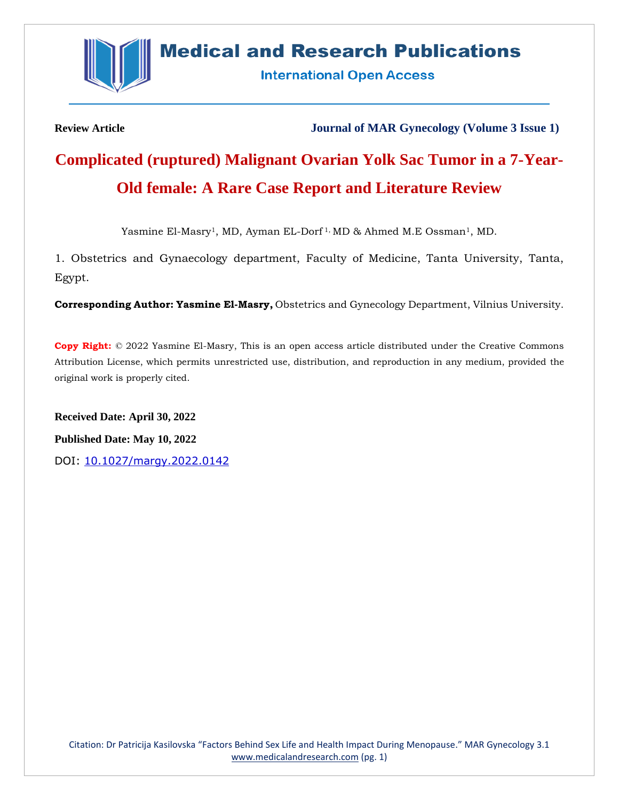

## **Medical and Research Publications**

**International Open Access** 

**Review Article Journal of MAR Gynecology (Volume 3 Issue 1)**

# **Complicated (ruptured) Malignant Ovarian Yolk Sac Tumor in a 7-Year-Old female: A Rare Case Report and Literature Review**

Yasmine El-Masry<sup>1</sup>, MD, Ayman EL-Dorf<sup>1,</sup> MD & Ahmed M.E Ossman<sup>1</sup>, MD.

1. Obstetrics and Gynaecology department, Faculty of Medicine, Tanta University, Tanta, Egypt.

**Corresponding Author: Yasmine El-Masry,** Obstetrics and Gynecology Department, Vilnius University.

**Copy Right:** © 2022 Yasmine El-Masry, This is an open access article distributed under the Creative Commons Attribution License, which permits unrestricted use, distribution, and reproduction in any medium, provided the original work is properly cited.

**Received Date: April 30, 2022 Published Date: May 10, 2022** DOI: [10.1027/margy.2022.0142](https://www.medicalandresearch.com/assets/articles/documents/DOCUMENT_20220512141722.pdf)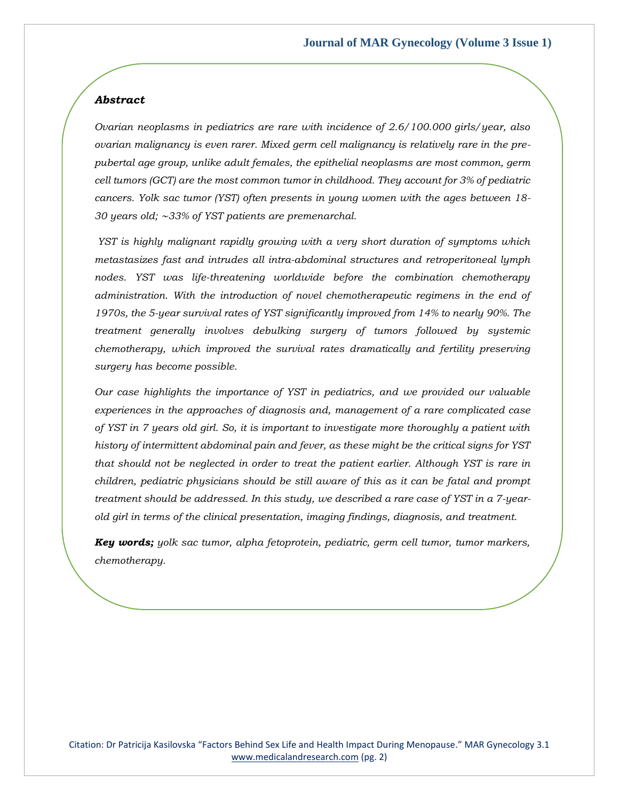## *Abstract*

*Ovarian neoplasms in pediatrics are rare with incidence of 2.6/100.000 girls/year, also ovarian malignancy is even rarer. Mixed germ cell malignancy is relatively rare in the prepubertal age group, unlike adult females, the epithelial neoplasms are most common, germ cell tumors (GCT) are the most common tumor in childhood. They account for 3% of pediatric cancers. Yolk sac tumor (YST) often presents in young women with the ages between 18- 30 years old;* ∼*33% of YST patients are premenarchal.* 

*YST is highly malignant rapidly growing with a very short duration of symptoms which metastasizes fast and intrudes all intra-abdominal structures and retroperitoneal lymph nodes. YST was life-threatening worldwide before the combination chemotherapy administration. With the introduction of novel chemotherapeutic regimens in the end of 1970s, the 5-year survival rates of YST significantly improved from 14% to nearly 90%. The treatment generally involves debulking surgery of tumors followed by systemic chemotherapy, which improved the survival rates dramatically and fertility preserving surgery has become possible.* 

*Our case highlights the importance of YST in pediatrics, and we provided our valuable experiences in the approaches of diagnosis and, management of a rare complicated case of YST in 7 years old girl. So, it is important to investigate more thoroughly a patient with history of intermittent abdominal pain and fever, as these might be the critical signs for YST that should not be neglected in order to treat the patient earlier. Although YST is rare in children, pediatric physicians should be still aware of this as it can be fatal and prompt treatment should be addressed. In this study, we described a rare case of YST in a 7-yearold girl in terms of the clinical presentation, imaging findings, diagnosis, and treatment.*

*Key words; yolk sac tumor, alpha fetoprotein, pediatric, germ cell tumor, tumor markers, chemotherapy.*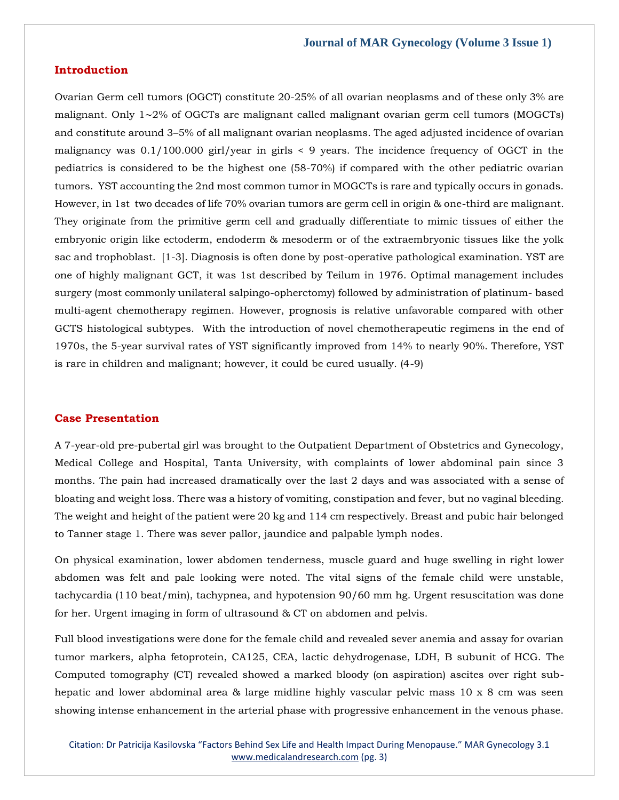## **Introduction**

Ovarian Germ cell tumors (OGCT) constitute 20-25% of all ovarian neoplasms and of these only 3% are malignant. Only 1∼2% of OGCTs are malignant called malignant ovarian germ cell tumors (MOGCTs) and constitute around 3–5% of all malignant ovarian neoplasms. The aged adjusted incidence of ovarian malignancy was 0.1/100.000 girl/year in girls < 9 years. The incidence frequency of OGCT in the pediatrics is considered to be the highest one (58-70%) if compared with the other pediatric ovarian tumors. YST accounting the 2nd most common tumor in MOGCTs is rare and typically occurs in gonads. However, in 1st two decades of life 70% ovarian tumors are germ cell in origin & one-third are malignant. They originate from the primitive germ cell and gradually differentiate to mimic tissues of either the embryonic origin like ectoderm, endoderm & mesoderm or of the extraembryonic tissues like the yolk sac and trophoblast. [1-3]. Diagnosis is often done by post-operative pathological examination. YST are one of highly malignant GCT, it was 1st described by Teilum in 1976. Optimal management includes surgery (most commonly unilateral salpingo-opherctomy) followed by administration of platinum- based multi-agent chemotherapy regimen. However, prognosis is relative unfavorable compared with other GCTS histological subtypes. With the introduction of novel chemotherapeutic regimens in the end of 1970s, the 5-year survival rates of YST significantly improved from 14% to nearly 90%. Therefore, YST is rare in children and malignant; however, it could be cured usually. (4-9)

#### **Case Presentation**

A 7-year-old pre-pubertal girl was brought to the Outpatient Department of Obstetrics and Gynecology, Medical College and Hospital, Tanta University, with complaints of lower abdominal pain since 3 months. The pain had increased dramatically over the last 2 days and was associated with a sense of bloating and weight loss. There was a history of vomiting, constipation and fever, but no vaginal bleeding. The weight and height of the patient were 20 kg and 114 cm respectively. Breast and pubic hair belonged to Tanner stage 1. There was sever pallor, jaundice and palpable lymph nodes.

On physical examination, lower abdomen tenderness, muscle guard and huge swelling in right lower abdomen was felt and pale looking were noted. The vital signs of the female child were unstable, tachycardia (110 beat/min), tachypnea, and hypotension 90/60 mm hg. Urgent resuscitation was done for her. Urgent imaging in form of ultrasound & CT on abdomen and pelvis.

Full blood investigations were done for the female child and revealed sever anemia and assay for ovarian tumor markers, alpha fetoprotein, CA125, CEA, lactic dehydrogenase, LDH, B subunit of HCG. The Computed tomography (CT) revealed showed a marked bloody (on aspiration) ascites over right subhepatic and lower abdominal area & large midline highly vascular pelvic mass 10 x 8 cm was seen showing intense enhancement in the arterial phase with progressive enhancement in the venous phase.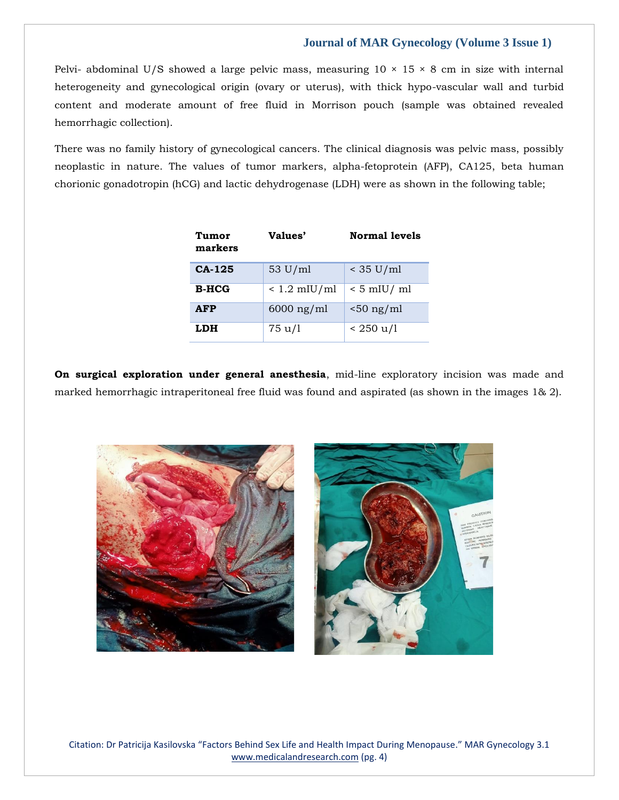Pelvi- abdominal U/S showed a large pelvic mass, measuring  $10 \times 15 \times 8$  cm in size with internal heterogeneity and gynecological origin (ovary or uterus), with thick hypo-vascular wall and turbid content and moderate amount of free fluid in Morrison pouch (sample was obtained revealed hemorrhagic collection).

There was no family history of gynecological cancers. The clinical diagnosis was pelvic mass, possibly neoplastic in nature. The values of tumor markers, alpha-fetoprotein (AFP), CA125, beta human chorionic gonadotropin (hCG) and lactic dehydrogenase (LDH) were as shown in the following table;

| Tumor<br>markers | Values'           | <b>Normal levels</b> |
|------------------|-------------------|----------------------|
| $CA-125$         | $53 \text{ U/ml}$ | $<$ 35 U/ml          |
| $B-HCG$          | $< 1.2$ mIU/ml    | $< 5$ mIU/ ml        |
| <b>AFP</b>       | $6000$ ng/ml      | $< 50$ ng/ml         |
| LDH              | 75 u/l            | $< 250 \mathrm{u/l}$ |

**On surgical exploration under general anesthesia**, mid-line exploratory incision was made and marked hemorrhagic intraperitoneal free fluid was found and aspirated (as shown in the images 1& 2).



Citation: Dr Patricija Kasilovska "Factors Behind Sex Life and Health Impact During Menopause." MAR Gynecology 3.1 [www.medicalandresearch.com](http://www.medicalandresearch.com/) (pg. 4)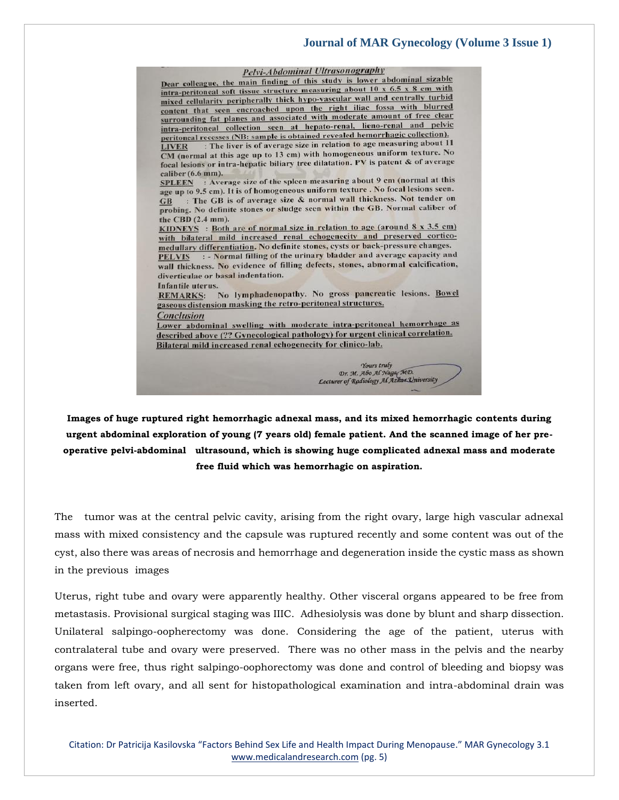

**Images of huge ruptured right hemorrhagic adnexal mass, and its mixed hemorrhagic contents during urgent abdominal exploration of young (7 years old) female patient. And the scanned image of her preoperative pelvi-abdominal ultrasound, which is showing huge complicated adnexal mass and moderate free fluid which was hemorrhagic on aspiration.**

The tumor was at the central pelvic cavity, arising from the right ovary, large high vascular adnexal mass with mixed consistency and the capsule was ruptured recently and some content was out of the cyst, also there was areas of necrosis and hemorrhage and degeneration inside the cystic mass as shown in the previous images

Uterus, right tube and ovary were apparently healthy. Other visceral organs appeared to be free from metastasis. Provisional surgical staging was IIIC. Adhesiolysis was done by blunt and sharp dissection. Unilateral salpingo-oopherectomy was done. Considering the age of the patient, uterus with contralateral tube and ovary were preserved. There was no other mass in the pelvis and the nearby organs were free, thus right salpingo-oophorectomy was done and control of bleeding and biopsy was taken from left ovary, and all sent for histopathological examination and intra-abdominal drain was inserted.

Citation: Dr Patricija Kasilovska "Factors Behind Sex Life and Health Impact During Menopause." MAR Gynecology 3.1 [www.medicalandresearch.com](http://www.medicalandresearch.com/) (pg. 5)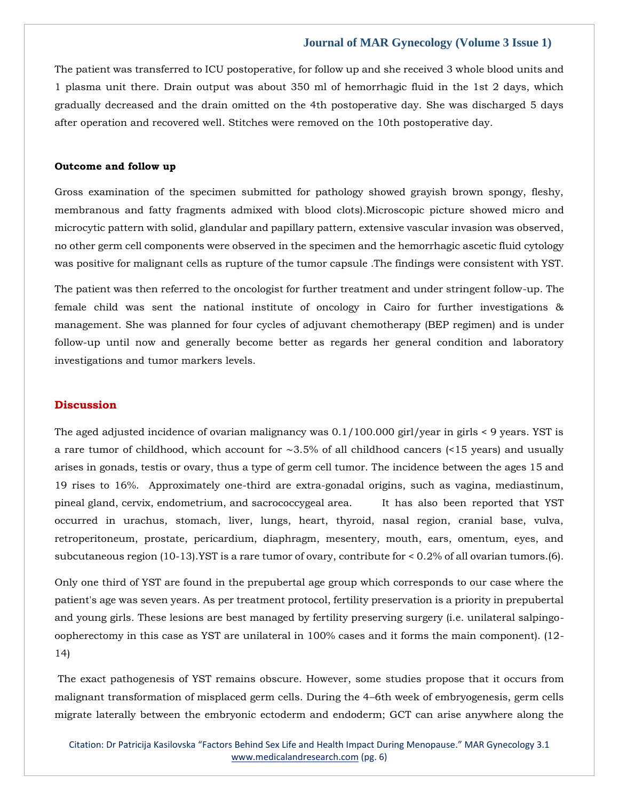The patient was transferred to ICU postoperative, for follow up and she received 3 whole blood units and 1 plasma unit there. Drain output was about 350 ml of hemorrhagic fluid in the 1st 2 days, which gradually decreased and the drain omitted on the 4th postoperative day. She was discharged 5 days after operation and recovered well. Stitches were removed on the 10th postoperative day.

#### **Outcome and follow up**

Gross examination of the specimen submitted for pathology showed grayish brown spongy, fleshy, membranous and fatty fragments admixed with blood clots).Microscopic picture showed micro and microcytic pattern with solid, glandular and papillary pattern, extensive vascular invasion was observed, no other germ cell components were observed in the specimen and the hemorrhagic ascetic fluid cytology was positive for malignant cells as rupture of the tumor capsule .The findings were consistent with YST.

The patient was then referred to the oncologist for further treatment and under stringent follow-up. The female child was sent the national institute of oncology in Cairo for further investigations & management. She was planned for four cycles of adjuvant chemotherapy (BEP regimen) and is under follow-up until now and generally become better as regards her general condition and laboratory investigations and tumor markers levels.

## **Discussion**

The aged adjusted incidence of ovarian malignancy was 0.1/100.000 girl/year in girls < 9 years. YST is a rare tumor of childhood, which account for ∼3.5% of all childhood cancers (<15 years) and usually arises in gonads, testis or ovary, thus a type of germ cell tumor. The incidence between the ages 15 and 19 rises to 16%. Approximately one-third are extra-gonadal origins, such as vagina, mediastinum, pineal gland, cervix, endometrium, and sacrococcygeal area. It has also been reported that YST occurred in urachus, stomach, liver, lungs, heart, thyroid, nasal region, cranial base, vulva, retroperitoneum, prostate, pericardium, diaphragm, mesentery, mouth, ears, omentum, eyes, and subcutaneous region (10-13).YST is a rare tumor of ovary, contribute for < 0.2% of all ovarian tumors.(6).

Only one third of YST are found in the prepubertal age group which corresponds to our case where the patient's age was seven years. As per treatment protocol, fertility preservation is a priority in prepubertal and young girls. These lesions are best managed by fertility preserving surgery (i.e. unilateral salpingooopherectomy in this case as YST are unilateral in 100% cases and it forms the main component). (12- 14)

The exact pathogenesis of YST remains obscure. However, some studies propose that it occurs from malignant transformation of misplaced germ cells. During the 4–6th week of embryogenesis, germ cells migrate laterally between the embryonic ectoderm and endoderm; GCT can arise anywhere along the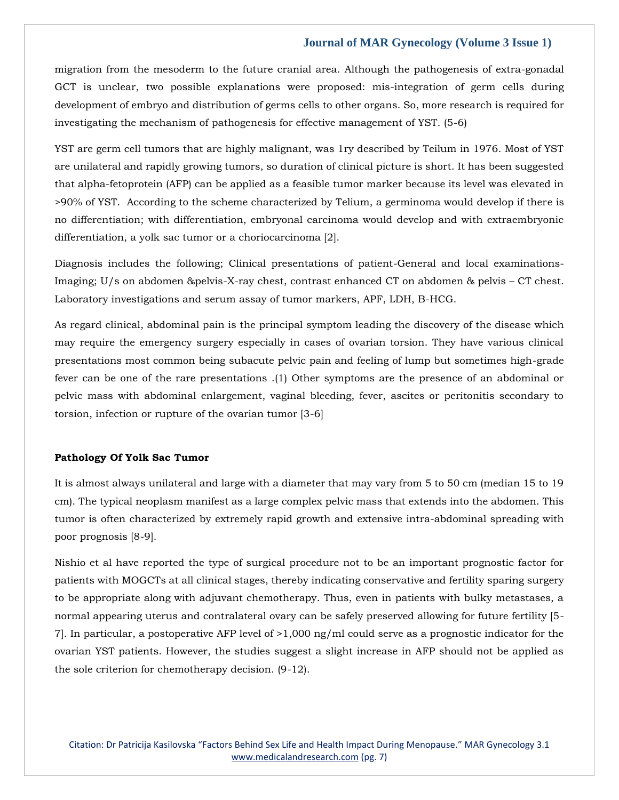migration from the mesoderm to the future cranial area. Although the pathogenesis of extra-gonadal GCT is unclear, two possible explanations were proposed: mis-integration of germ cells during development of embryo and distribution of germs cells to other organs. So, more research is required for investigating the mechanism of pathogenesis for effective management of YST. (5-6)

YST are germ cell tumors that are highly malignant, was 1ry described by Teilum in 1976. Most of YST are unilateral and rapidly growing tumors, so duration of clinical picture is short. It has been suggested that alpha-fetoprotein (AFP) can be applied as a feasible tumor marker because its level was elevated in >90% of YST. According to the scheme characterized by Telium, a germinoma would develop if there is no differentiation; with differentiation, embryonal carcinoma would develop and with extraembryonic differentiation, a yolk sac tumor or a choriocarcinoma [2].

Diagnosis includes the following; Clinical presentations of patient-General and local examinations-Imaging; U/s on abdomen &pelvis-X-ray chest, contrast enhanced CT on abdomen & pelvis – CT chest. Laboratory investigations and serum assay of tumor markers, APF, LDH, B-HCG.

As regard clinical, abdominal pain is the principal symptom leading the discovery of the disease which may require the emergency surgery especially in cases of ovarian torsion. They have various clinical presentations most common being subacute pelvic pain and feeling of lump but sometimes high-grade fever can be one of the rare presentations .(1) Other symptoms are the presence of an abdominal or pelvic mass with abdominal enlargement, vaginal bleeding, fever, ascites or peritonitis secondary to torsion, infection or rupture of the ovarian tumor [3-6]

## **Pathology Of Yolk Sac Tumor**

It is almost always unilateral and large with a diameter that may vary from 5 to 50 cm (median 15 to 19 cm). The typical neoplasm manifest as a large complex pelvic mass that extends into the abdomen. This tumor is often characterized by extremely rapid growth and extensive intra-abdominal spreading with poor prognosis [8-9].

Nishio et al have reported the type of surgical procedure not to be an important prognostic factor for patients with MOGCTs at all clinical stages, thereby indicating conservative and fertility sparing surgery to be appropriate along with adjuvant chemotherapy. Thus, even in patients with bulky metastases, a normal appearing uterus and contralateral ovary can be safely preserved allowing for future fertility [5- 7]. In particular, a postoperative AFP level of >1,000 ng/ml could serve as a prognostic indicator for the ovarian YST patients. However, the studies suggest a slight increase in AFP should not be applied as the sole criterion for chemotherapy decision. (9-12).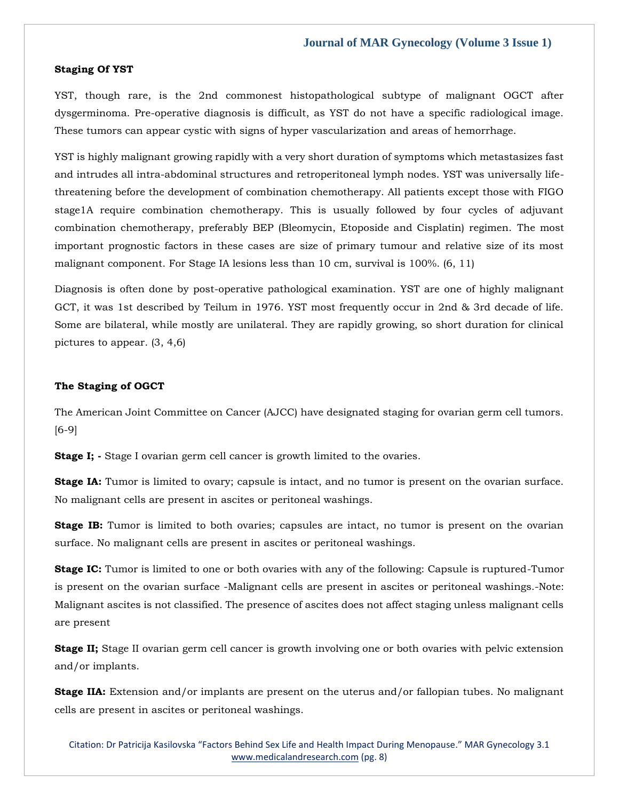#### **Staging Of YST**

YST, though rare, is the 2nd commonest histopathological subtype of malignant OGCT after dysgerminoma. Pre-operative diagnosis is difficult, as YST do not have a specific radiological image. These tumors can appear cystic with signs of hyper vascularization and areas of hemorrhage.

YST is highly malignant growing rapidly with a very short duration of symptoms which metastasizes fast and intrudes all intra-abdominal structures and retroperitoneal lymph nodes. YST was universally lifethreatening before the development of combination chemotherapy. All patients except those with FIGO stage1A require combination chemotherapy. This is usually followed by four cycles of adjuvant combination chemotherapy, preferably BEP (Bleomycin, Etoposide and Cisplatin) regimen. The most important prognostic factors in these cases are size of primary tumour and relative size of its most malignant component. For Stage IA lesions less than 10 cm, survival is 100%. (6, 11)

Diagnosis is often done by post-operative pathological examination. YST are one of highly malignant GCT, it was 1st described by Teilum in 1976. YST most frequently occur in 2nd & 3rd decade of life. Some are bilateral, while mostly are unilateral. They are rapidly growing, so short duration for clinical pictures to appear. (3, 4,6)

#### **The Staging of OGCT**

The American Joint Committee on Cancer (AJCC) have designated staging for ovarian germ cell tumors. [6-9]

**Stage I;** - Stage I ovarian germ cell cancer is growth limited to the ovaries.

**Stage IA:** Tumor is limited to ovary; capsule is intact, and no tumor is present on the ovarian surface. No malignant cells are present in ascites or peritoneal washings.

**Stage IB:** Tumor is limited to both ovaries; capsules are intact, no tumor is present on the ovarian surface. No malignant cells are present in ascites or peritoneal washings.

**Stage IC:** Tumor is limited to one or both ovaries with any of the following: Capsule is ruptured-Tumor is present on the ovarian surface -Malignant cells are present in ascites or peritoneal washings.-Note: Malignant ascites is not classified. The presence of ascites does not affect staging unless malignant cells are present

**Stage II;** Stage II ovarian germ cell cancer is growth involving one or both ovaries with pelvic extension and/or implants.

**Stage IIA:** Extension and/or implants are present on the uterus and/or fallopian tubes. No malignant cells are present in ascites or peritoneal washings.

Citation: Dr Patricija Kasilovska "Factors Behind Sex Life and Health Impact During Menopause." MAR Gynecology 3.1 [www.medicalandresearch.com](http://www.medicalandresearch.com/) (pg. 8)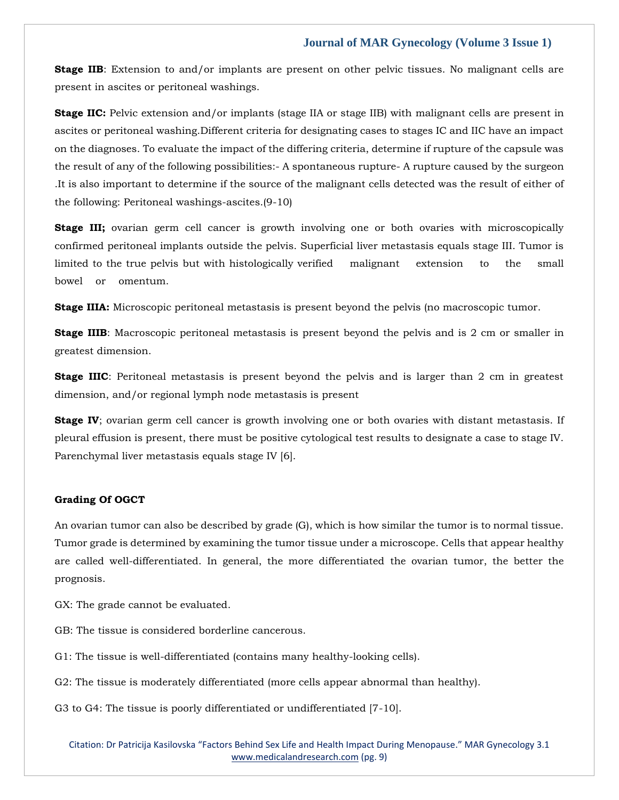**Stage IIB:** Extension to and/or implants are present on other pelvic tissues. No malignant cells are present in ascites or peritoneal washings.

**Stage IIC:** Pelvic extension and/or implants (stage IIA or stage IIB) with malignant cells are present in ascites or peritoneal washing.Different criteria for designating cases to stages IC and IIC have an impact on the diagnoses. To evaluate the impact of the differing criteria, determine if rupture of the capsule was the result of any of the following possibilities:- A spontaneous rupture- A rupture caused by the surgeon .It is also important to determine if the source of the malignant cells detected was the result of either of the following: Peritoneal washings-ascites.(9-10)

**Stage III;** ovarian germ cell cancer is growth involving one or both ovaries with microscopically confirmed peritoneal implants outside the pelvis. Superficial liver metastasis equals stage III. Tumor is limited to the true pelvis but with histologically verified malignant extension to the small bowel or omentum.

**Stage IIIA:** Microscopic peritoneal metastasis is present beyond the pelvis (no macroscopic tumor.

**Stage IIIB**: Macroscopic peritoneal metastasis is present beyond the pelvis and is 2 cm or smaller in greatest dimension.

**Stage IIIC**: Peritoneal metastasis is present beyond the pelvis and is larger than 2 cm in greatest dimension, and/or regional lymph node metastasis is present

**Stage IV**; ovarian germ cell cancer is growth involving one or both ovaries with distant metastasis. If pleural effusion is present, there must be positive cytological test results to designate a case to stage IV. Parenchymal liver metastasis equals stage IV [6].

## **Grading Of OGCT**

An ovarian tumor can also be described by grade (G), which is how similar the tumor is to normal tissue. Tumor grade is determined by examining the tumor tissue under a microscope. Cells that appear healthy are called well-differentiated. In general, the more differentiated the ovarian tumor, the better the prognosis.

GX: The grade cannot be evaluated.

GB: The tissue is considered borderline cancerous.

G1: The tissue is well-differentiated (contains many healthy-looking cells).

G2: The tissue is moderately differentiated (more cells appear abnormal than healthy).

G3 to G4: The tissue is poorly differentiated or undifferentiated [7-10].

Citation: Dr Patricija Kasilovska "Factors Behind Sex Life and Health Impact During Menopause." MAR Gynecology 3.1 [www.medicalandresearch.com](http://www.medicalandresearch.com/) (pg. 9)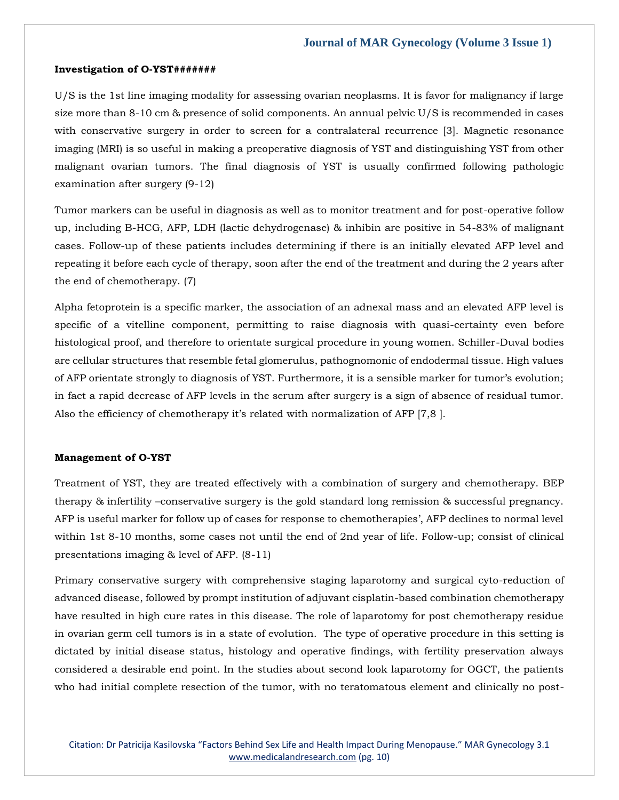#### **Investigation of O-YST#######**

U/S is the 1st line imaging modality for assessing ovarian neoplasms. It is favor for malignancy if large size more than 8-10 cm & presence of solid components. An annual pelvic U/S is recommended in cases with conservative surgery in order to screen for a contralateral recurrence [3]. Magnetic resonance imaging (MRI) is so useful in making a preoperative diagnosis of YST and distinguishing YST from other malignant ovarian tumors. The final diagnosis of YST is usually confirmed following pathologic examination after surgery (9-12)

Tumor markers can be useful in diagnosis as well as to monitor treatment and for post-operative follow up, including B-HCG, AFP, LDH (lactic dehydrogenase) & inhibin are positive in 54-83% of malignant cases. Follow-up of these patients includes determining if there is an initially elevated AFP level and repeating it before each cycle of therapy, soon after the end of the treatment and during the 2 years after the end of chemotherapy. (7)

Alpha fetoprotein is a specific marker, the association of an adnexal mass and an elevated AFP level is specific of a vitelline component, permitting to raise diagnosis with quasi-certainty even before histological proof, and therefore to orientate surgical procedure in young women. Schiller-Duval bodies are cellular structures that resemble fetal glomerulus, pathognomonic of endodermal tissue. High values of AFP orientate strongly to diagnosis of YST. Furthermore, it is a sensible marker for tumor's evolution; in fact a rapid decrease of AFP levels in the serum after surgery is a sign of absence of residual tumor. Also the efficiency of chemotherapy it's related with normalization of AFP [7,8 ].

#### **Management of O-YST**

Treatment of YST, they are treated effectively with a combination of surgery and chemotherapy. BEP therapy & infertility –conservative surgery is the gold standard long remission & successful pregnancy. AFP is useful marker for follow up of cases for response to chemotherapies', AFP declines to normal level within 1st 8-10 months, some cases not until the end of 2nd year of life. Follow-up; consist of clinical presentations imaging & level of AFP. (8-11)

Primary conservative surgery with comprehensive staging laparotomy and surgical cyto-reduction of advanced disease, followed by prompt institution of adjuvant cisplatin-based combination chemotherapy have resulted in high cure rates in this disease. The role of laparotomy for post chemotherapy residue in ovarian germ cell tumors is in a state of evolution. The type of operative procedure in this setting is dictated by initial disease status, histology and operative findings, with fertility preservation always considered a desirable end point. In the studies about second look laparotomy for OGCT, the patients who had initial complete resection of the tumor, with no teratomatous element and clinically no post-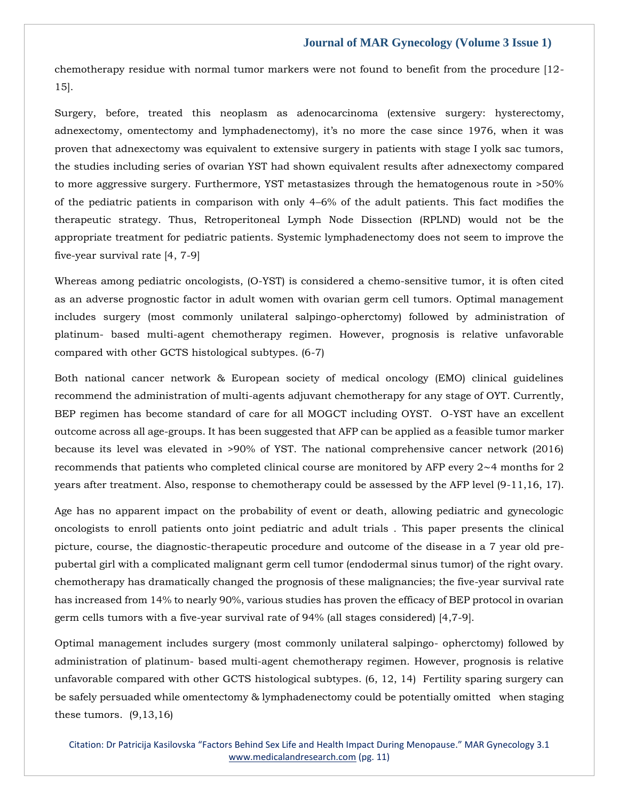chemotherapy residue with normal tumor markers were not found to benefit from the procedure [12- 15].

Surgery, before, treated this neoplasm as adenocarcinoma (extensive surgery: hysterectomy, adnexectomy, omentectomy and lymphadenectomy), it's no more the case since 1976, when it was proven that adnexectomy was equivalent to extensive surgery in patients with stage I yolk sac tumors, the studies including series of ovarian YST had shown equivalent results after adnexectomy compared to more aggressive surgery. Furthermore, YST metastasizes through the hematogenous route in >50% of the pediatric patients in comparison with only 4–6% of the adult patients. This fact modifies the therapeutic strategy. Thus, Retroperitoneal Lymph Node Dissection (RPLND) would not be the appropriate treatment for pediatric patients. Systemic lymphadenectomy does not seem to improve the five-year survival rate [4, 7-9]

Whereas among pediatric oncologists, (O-YST) is considered a chemo-sensitive tumor, it is often cited as an adverse prognostic factor in adult women with ovarian germ cell tumors. Optimal management includes surgery (most commonly unilateral salpingo-opherctomy) followed by administration of platinum- based multi-agent chemotherapy regimen. However, prognosis is relative unfavorable compared with other GCTS histological subtypes. (6-7)

Both national cancer network & European society of medical oncology (EMO) clinical guidelines recommend the administration of multi-agents adjuvant chemotherapy for any stage of OYT. Currently, BEP regimen has become standard of care for all MOGCT including OYST. O-YST have an excellent outcome across all age-groups. It has been suggested that AFP can be applied as a feasible tumor marker because its level was elevated in >90% of YST. The national comprehensive cancer network (2016) recommends that patients who completed clinical course are monitored by AFP every 2∼4 months for 2 years after treatment. Also, response to chemotherapy could be assessed by the AFP level (9-11,16, 17).

Age has no apparent impact on the probability of event or death, allowing pediatric and gynecologic oncologists to enroll patients onto joint pediatric and adult trials . This paper presents the clinical picture, course, the diagnostic-therapeutic procedure and outcome of the disease in a 7 year old prepubertal girl with a complicated malignant germ cell tumor (endodermal sinus tumor) of the right ovary. chemotherapy has dramatically changed the prognosis of these malignancies; the five-year survival rate has increased from 14% to nearly 90%, various studies has proven the efficacy of BEP protocol in ovarian germ cells tumors with a five-year survival rate of 94% (all stages considered) [4,7-9].

Optimal management includes surgery (most commonly unilateral salpingo- opherctomy) followed by administration of platinum- based multi-agent chemotherapy regimen. However, prognosis is relative unfavorable compared with other GCTS histological subtypes. (6, 12, 14) Fertility sparing surgery can be safely persuaded while omentectomy & lymphadenectomy could be potentially omitted when staging these tumors.  $(9,13,16)$ 

Citation: Dr Patricija Kasilovska "Factors Behind Sex Life and Health Impact During Menopause." MAR Gynecology 3.1 [www.medicalandresearch.com](http://www.medicalandresearch.com/) (pg. 11)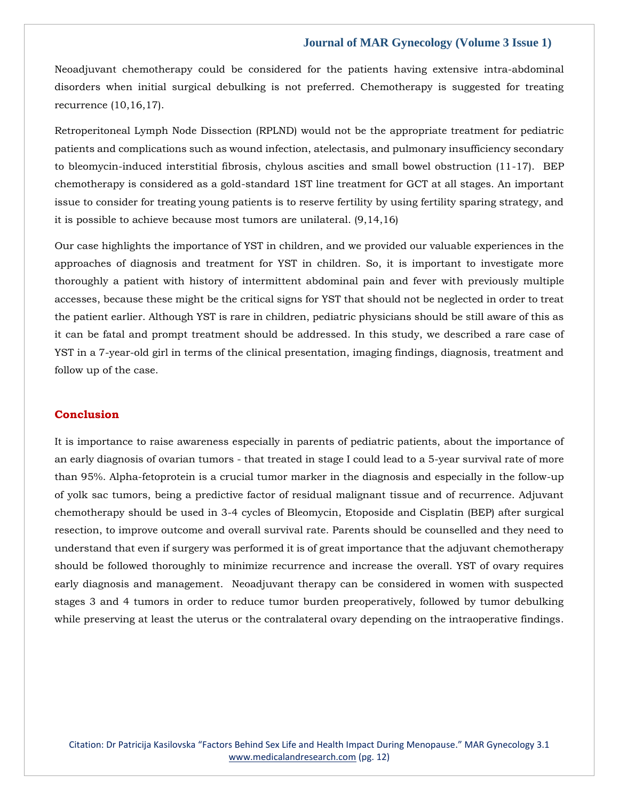Neoadjuvant chemotherapy could be considered for the patients having extensive intra-abdominal disorders when initial surgical debulking is not preferred. Chemotherapy is suggested for treating recurrence (10,16,17).

Retroperitoneal Lymph Node Dissection (RPLND) would not be the appropriate treatment for pediatric patients and complications such as wound infection, atelectasis, and pulmonary insufficiency secondary to bleomycin-induced interstitial fibrosis, chylous ascities and small bowel obstruction (11-17). BEP chemotherapy is considered as a gold-standard 1ST line treatment for GCT at all stages. An important issue to consider for treating young patients is to reserve fertility by using fertility sparing strategy, and it is possible to achieve because most tumors are unilateral. (9,14,16)

Our case highlights the importance of YST in children, and we provided our valuable experiences in the approaches of diagnosis and treatment for YST in children. So, it is important to investigate more thoroughly a patient with history of intermittent abdominal pain and fever with previously multiple accesses, because these might be the critical signs for YST that should not be neglected in order to treat the patient earlier. Although YST is rare in children, pediatric physicians should be still aware of this as it can be fatal and prompt treatment should be addressed. In this study, we described a rare case of YST in a 7-year-old girl in terms of the clinical presentation, imaging findings, diagnosis, treatment and follow up of the case.

## **Conclusion**

It is importance to raise awareness especially in parents of pediatric patients, about the importance of an early diagnosis of ovarian tumors - that treated in stage I could lead to a 5-year survival rate of more than 95%. Alpha-fetoprotein is a crucial tumor marker in the diagnosis and especially in the follow-up of yolk sac tumors, being a predictive factor of residual malignant tissue and of recurrence. Adjuvant chemotherapy should be used in 3-4 cycles of Bleomycin, Etoposide and Cisplatin (BEP) after surgical resection, to improve outcome and overall survival rate. Parents should be counselled and they need to understand that even if surgery was performed it is of great importance that the adjuvant chemotherapy should be followed thoroughly to minimize recurrence and increase the overall. YST of ovary requires early diagnosis and management. Neoadjuvant therapy can be considered in women with suspected stages 3 and 4 tumors in order to reduce tumor burden preoperatively, followed by tumor debulking while preserving at least the uterus or the contralateral ovary depending on the intraoperative findings.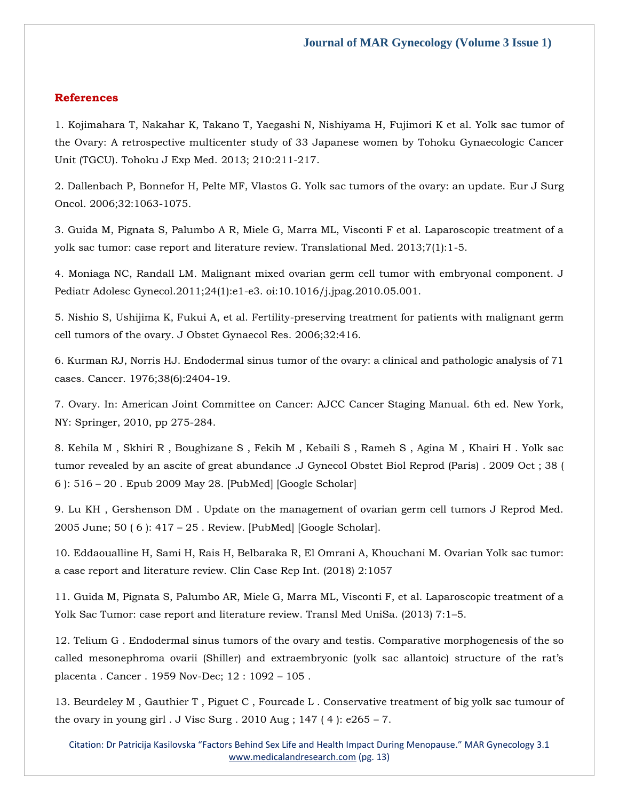#### **References**

[1. Kojimahara T, Nakahar K, Takano T, Yaegashi N, Nishiyama H, Fujimori K et al. Yolk sac tumor of](https://www.google.com/search?q=Yolk+sac+tumor+of+the+Ovary%3A+A+retrospective+multicenter+study+of+33+Japanese+women+by+Tohoku+Gynaecologic+Cancer+Unit+%28TGCU%29.+&sxsrf=ALiCzsbj68QGKlA3CIZbNWk1RaS_poQgLw%3A1651726881853&ei=IVpzYtPcM-6cseMP1q-EsAs&ved=0ahUKEwiT8buQysf3AhVuTmwGHdYXAbYQ4dUDCA4&oq=Yolk+sac+tumor+of+the+Ovary%3A+A+retrospective+multicenter+study+of+33+Japanese+women+by+Tohoku+Gynaecologic+Cancer+Unit+%28TGCU%29.+&gs_lcp=Cgdnd3Mtd2l6EAwyBwgjEOoCECcyBwgjEOoCECcyBwgjEOoCECcyBwgjEOoCECcyBwgjEOoCECcyBwgjEOoCECcyBwgjEOoCECcyBwgjEOoCECcyBwgjEOoCECcyBwgjEOoCECdKBAhBGABKBAhGGABQgwJYgwJgyQdoAXABeACAAQCIAQCSAQCYAQCgAQGgAQKwAQrAAQE&sclient=gws-wiz)  [the Ovary: A retrospective multicenter study of 33 Japanese women by Tohoku Gynaecologic Cancer](https://www.google.com/search?q=Yolk+sac+tumor+of+the+Ovary%3A+A+retrospective+multicenter+study+of+33+Japanese+women+by+Tohoku+Gynaecologic+Cancer+Unit+%28TGCU%29.+&sxsrf=ALiCzsbj68QGKlA3CIZbNWk1RaS_poQgLw%3A1651726881853&ei=IVpzYtPcM-6cseMP1q-EsAs&ved=0ahUKEwiT8buQysf3AhVuTmwGHdYXAbYQ4dUDCA4&oq=Yolk+sac+tumor+of+the+Ovary%3A+A+retrospective+multicenter+study+of+33+Japanese+women+by+Tohoku+Gynaecologic+Cancer+Unit+%28TGCU%29.+&gs_lcp=Cgdnd3Mtd2l6EAwyBwgjEOoCECcyBwgjEOoCECcyBwgjEOoCECcyBwgjEOoCECcyBwgjEOoCECcyBwgjEOoCECcyBwgjEOoCECcyBwgjEOoCECcyBwgjEOoCECcyBwgjEOoCECdKBAhBGABKBAhGGABQgwJYgwJgyQdoAXABeACAAQCIAQCSAQCYAQCgAQGgAQKwAQrAAQE&sclient=gws-wiz)  [Unit \(TGCU\). Tohoku J Exp Med. 2013; 210:211-217.](https://www.google.com/search?q=Yolk+sac+tumor+of+the+Ovary%3A+A+retrospective+multicenter+study+of+33+Japanese+women+by+Tohoku+Gynaecologic+Cancer+Unit+%28TGCU%29.+&sxsrf=ALiCzsbj68QGKlA3CIZbNWk1RaS_poQgLw%3A1651726881853&ei=IVpzYtPcM-6cseMP1q-EsAs&ved=0ahUKEwiT8buQysf3AhVuTmwGHdYXAbYQ4dUDCA4&oq=Yolk+sac+tumor+of+the+Ovary%3A+A+retrospective+multicenter+study+of+33+Japanese+women+by+Tohoku+Gynaecologic+Cancer+Unit+%28TGCU%29.+&gs_lcp=Cgdnd3Mtd2l6EAwyBwgjEOoCECcyBwgjEOoCECcyBwgjEOoCECcyBwgjEOoCECcyBwgjEOoCECcyBwgjEOoCECcyBwgjEOoCECcyBwgjEOoCECcyBwgjEOoCECcyBwgjEOoCECdKBAhBGABKBAhGGABQgwJYgwJgyQdoAXABeACAAQCIAQCSAQCYAQCgAQGgAQKwAQrAAQE&sclient=gws-wiz)

[2. Dallenbach P, Bonnefor H, Pelte MF, Vlastos G. Yolk sac tumors of the ovary: an update. Eur J Surg](https://www.google.com/search?q=Yolk+sac+tumors+of+the+ovary%3A+an+update&sxsrf=ALiCzsZuq5p_QQqtOZiaytA6XbeYF5mHHg%3A1651726867385&ei=E1pzYvmTF7KOseMP4fiByAE&ved=0ahUKEwi56ciJysf3AhUyR2wGHWF8ABkQ4dUDCA4&oq=Yolk+sac+tumors+of+the+ovary%3A+an+update&gs_lcp=Cgdnd3Mtd2l6EAwyBwghEAoQoAE6BwgjEOoCECdKBAhBGABKBAhGGABQrwJYrwJg3QVoAXAAeACAAXyIAXySAQMwLjGYAQCgAQGgAQKwAQrAAQE&sclient=gws-wiz)  [Oncol. 2006;32:1063-1075.](https://www.google.com/search?q=Yolk+sac+tumors+of+the+ovary%3A+an+update&sxsrf=ALiCzsZuq5p_QQqtOZiaytA6XbeYF5mHHg%3A1651726867385&ei=E1pzYvmTF7KOseMP4fiByAE&ved=0ahUKEwi56ciJysf3AhUyR2wGHWF8ABkQ4dUDCA4&oq=Yolk+sac+tumors+of+the+ovary%3A+an+update&gs_lcp=Cgdnd3Mtd2l6EAwyBwghEAoQoAE6BwgjEOoCECdKBAhBGABKBAhGGABQrwJYrwJg3QVoAXAAeACAAXyIAXySAQMwLjGYAQCgAQGgAQKwAQrAAQE&sclient=gws-wiz)

3. Guida M, [Pignata S, Palumbo A R, Miele G, Marra ML, Visconti F et al. Laparoscopic treatment of a](https://www.google.com/search?q=.+Laparoscopic+treatment+of+a+yolk+sac+tumor%3A+case+report+and+literature+review&sxsrf=ALiCzsbe3FZGzUYYbvgxZ3rS4gGqAeiByw%3A1651726853905&ei=BVpzYpXoNp2NseMPmvKekA4&ved=0ahUKEwjV_pGDysf3AhWdRmwGHRq5B-IQ4dUDCA4&oq=.+Laparoscopic+treatment+of+a+yolk+sac+tumor%3A+case+report+and+literature+review&gs_lcp=Cgdnd3Mtd2l6EAw6BwgjEOoCECdKBAhBGABKBAhGGABQxgJYxgJgnwVoAXABeACAAV2IAV2SAQExmAEAoAEBoAECsAEKwAEB&sclient=gws-wiz)  [yolk sac tumor: case report and literature review. Translational Med. 2013;7\(1\):1-5.](https://www.google.com/search?q=.+Laparoscopic+treatment+of+a+yolk+sac+tumor%3A+case+report+and+literature+review&sxsrf=ALiCzsbe3FZGzUYYbvgxZ3rS4gGqAeiByw%3A1651726853905&ei=BVpzYpXoNp2NseMPmvKekA4&ved=0ahUKEwjV_pGDysf3AhWdRmwGHRq5B-IQ4dUDCA4&oq=.+Laparoscopic+treatment+of+a+yolk+sac+tumor%3A+case+report+and+literature+review&gs_lcp=Cgdnd3Mtd2l6EAw6BwgjEOoCECdKBAhBGABKBAhGGABQxgJYxgJgnwVoAXABeACAAV2IAV2SAQExmAEAoAEBoAECsAEKwAEB&sclient=gws-wiz)

[4. Moniaga NC, Randall LM. Malignant mixed ovarian germ cell tumor with embryonal component. J](https://www.google.com/search?q=Malignant+mixed+ovarian+germ+cell+tumor+with+embryonal+component&sxsrf=ALiCzsafoDmUWhv8Q0etA390rpEUJNipfw%3A1651726841960&ei=-VlzYtiPOqG5seMP_IO64AU&ved=0ahUKEwiY8Lj9ycf3AhWhXGwGHfyBDlwQ4dUDCA4&oq=Malignant+mixed+ovarian+germ+cell+tumor+with+embryonal+component&gs_lcp=Cgdnd3Mtd2l6EAw6BwgjEOoCECdKBAhBGABKBAhGGABQygJYygJg7QVoAXAAeACAAWWIAWWSAQMwLjGYAQCgAQGgAQKwAQrAAQE&sclient=gws-wiz)  [Pediatr Adolesc Gynecol.2011;24\(1\):e1-e3. oi:10.1016/j.jpag.2010.05.001.](https://www.google.com/search?q=Malignant+mixed+ovarian+germ+cell+tumor+with+embryonal+component&sxsrf=ALiCzsafoDmUWhv8Q0etA390rpEUJNipfw%3A1651726841960&ei=-VlzYtiPOqG5seMP_IO64AU&ved=0ahUKEwiY8Lj9ycf3AhWhXGwGHfyBDlwQ4dUDCA4&oq=Malignant+mixed+ovarian+germ+cell+tumor+with+embryonal+component&gs_lcp=Cgdnd3Mtd2l6EAw6BwgjEOoCECdKBAhBGABKBAhGGABQygJYygJg7QVoAXAAeACAAWWIAWWSAQMwLjGYAQCgAQGgAQKwAQrAAQE&sclient=gws-wiz)

[5. Nishio S, Ushijima K, Fukui A, et al. Fertility-preserving treatment for patients with malignant germ](https://www.google.com/search?q=Fertility-preserving+treatment+for+patients+with+malignant+germ+cell+tumors+of+the+ovary&sxsrf=ALiCzsb1VGrzGrlz_C2NEJAdFkuwIJEz_w%3A1651726828912&ei=7FlzYu-mN9WMseMPp-Cc2A4&ved=0ahUKEwjvzJz3ycf3AhVVRmwGHScwB-sQ4dUDCA4&oq=Fertility-preserving+treatment+for+patients+with+malignant+germ+cell+tumors+of+the+ovary&gs_lcp=Cgdnd3Mtd2l6EAw6BwgjEOoCECdKBAhBGABKBAhGGABQ3QJY3QJg4AVoAXAAeACAAWGIAWGSAQExmAEAoAEBoAECsAEKwAEB&sclient=gws-wiz)  [cell tumors of the ovary. J Obstet Gynaecol Res. 2006;32:416.](https://www.google.com/search?q=Fertility-preserving+treatment+for+patients+with+malignant+germ+cell+tumors+of+the+ovary&sxsrf=ALiCzsb1VGrzGrlz_C2NEJAdFkuwIJEz_w%3A1651726828912&ei=7FlzYu-mN9WMseMPp-Cc2A4&ved=0ahUKEwjvzJz3ycf3AhVVRmwGHScwB-sQ4dUDCA4&oq=Fertility-preserving+treatment+for+patients+with+malignant+germ+cell+tumors+of+the+ovary&gs_lcp=Cgdnd3Mtd2l6EAw6BwgjEOoCECdKBAhBGABKBAhGGABQ3QJY3QJg4AVoAXAAeACAAWGIAWGSAQExmAEAoAEBoAECsAEKwAEB&sclient=gws-wiz)

6. [Kurman RJ, Norris HJ. Endodermal sinus tumor of the ovary: a clinical and pathologic analysis of 71](https://www.google.com/search?q=Endodermal+sinus+tumor+of+the+ovary%3A+a+clinical+and+pathologic+analysis+of+71+cases&sxsrf=ALiCzsa-zdZHL6-4HfY5T8CwOgqCwPXzmw%3A1651726813586&ei=3VlzYoqvI9CNseMP16-46AE&ved=0ahUKEwjKkfXvycf3AhXQRmwGHdcXDh0Q4dUDCA4&oq=Endodermal+sinus+tumor+of+the+ovary%3A+a+clinical+and+pathologic+analysis+of+71+cases&gs_lcp=Cgdnd3Mtd2l6EAw6BwgjEOoCECdKBAhBGABKBAhGGABQigFYigFghAVoAXABeACAAVmIAVmSAQExmAEAoAEBoAECsAEKwAEB&sclient=gws-wiz)  [cases. Cancer. 1976;38\(6\):2404-19.](https://www.google.com/search?q=Endodermal+sinus+tumor+of+the+ovary%3A+a+clinical+and+pathologic+analysis+of+71+cases&sxsrf=ALiCzsa-zdZHL6-4HfY5T8CwOgqCwPXzmw%3A1651726813586&ei=3VlzYoqvI9CNseMP16-46AE&ved=0ahUKEwjKkfXvycf3AhXQRmwGHdcXDh0Q4dUDCA4&oq=Endodermal+sinus+tumor+of+the+ovary%3A+a+clinical+and+pathologic+analysis+of+71+cases&gs_lcp=Cgdnd3Mtd2l6EAw6BwgjEOoCECdKBAhBGABKBAhGGABQigFYigFghAVoAXABeACAAVmIAVmSAQExmAEAoAEBoAECsAEKwAEB&sclient=gws-wiz)

[7. Ovary. In: American Joint Committee on Cancer: AJCC Cancer Staging Manual. 6th ed. New York,](https://www.google.com/search?q=American+Joint+Committee+on+Cancer%3A+AJCC+Cancer+Staging+Manual&sxsrf=ALiCzsYf64ROjsZshrCIZ1gvNGfxTTRaPA%3A1651726798347&ei=zllzYvrvFNKdseMPteejyA4&ved=0ahUKEwj6jtPoycf3AhXSTmwGHbXzCOkQ4dUDCA4&oq=American+Joint+Committee+on+Cancer%3A+AJCC+Cancer+Staging+Manual&gs_lcp=Cgdnd3Mtd2l6EAwyBggAEBYQHjIGCAAQFhAeMgYIABAWEB4yBggAEBYQHjoHCCMQ6gIQJ0oECEEYAEoECEYYAFDXAljXAmDaBWgBcAF4AIABX4gBX5IBATGYAQCgAQGgAQKwAQrAAQE&sclient=gws-wiz)  [NY: Springer, 2010, pp 275-284.](https://www.google.com/search?q=American+Joint+Committee+on+Cancer%3A+AJCC+Cancer+Staging+Manual&sxsrf=ALiCzsYf64ROjsZshrCIZ1gvNGfxTTRaPA%3A1651726798347&ei=zllzYvrvFNKdseMPteejyA4&ved=0ahUKEwj6jtPoycf3AhXSTmwGHbXzCOkQ4dUDCA4&oq=American+Joint+Committee+on+Cancer%3A+AJCC+Cancer+Staging+Manual&gs_lcp=Cgdnd3Mtd2l6EAwyBggAEBYQHjIGCAAQFhAeMgYIABAWEB4yBggAEBYQHjoHCCMQ6gIQJ0oECEEYAEoECEYYAFDXAljXAmDaBWgBcAF4AIABX4gBX5IBATGYAQCgAQGgAQKwAQrAAQE&sclient=gws-wiz) 

[8. Kehila M , Skhiri R , Boughizane S , Fekih M , Kebaili S , Rameh S , Agina M , Khairi H . Yolk sac](https://www.google.com/search?q=Yolk+sac+tumor+revealed+by+an+ascite+of+great+abundance+&sxsrf=ALiCzsYPLe1krlcRtLBAdqvd-k93RYQwgg%3A1651726784932&ei=wFlzYuW1OO_RseMP5uuKmAc&ved=0ahUKEwjllaDiycf3AhXvaGwGHea1AnMQ4dUDCA4&oq=Yolk+sac+tumor+revealed+by+an+ascite+of+great+abundance+&gs_lcp=Cgdnd3Mtd2l6EAw6BwgjEOoCECdKBAhBGABKBAhGGABQ1QJY1QJg2AVoAXABeACAAaEBiAGhAZIBAzAuMZgBAKABAaABArABCsABAQ&sclient=gws-wiz)  [tumor revealed by an ascite of great abundance .J Gynecol Obstet Biol Reprod \(Paris\) . 2009 Oct ; 38 \(](https://www.google.com/search?q=Yolk+sac+tumor+revealed+by+an+ascite+of+great+abundance+&sxsrf=ALiCzsYPLe1krlcRtLBAdqvd-k93RYQwgg%3A1651726784932&ei=wFlzYuW1OO_RseMP5uuKmAc&ved=0ahUKEwjllaDiycf3AhXvaGwGHea1AnMQ4dUDCA4&oq=Yolk+sac+tumor+revealed+by+an+ascite+of+great+abundance+&gs_lcp=Cgdnd3Mtd2l6EAw6BwgjEOoCECdKBAhBGABKBAhGGABQ1QJY1QJg2AVoAXABeACAAaEBiAGhAZIBAzAuMZgBAKABAaABArABCsABAQ&sclient=gws-wiz)  6 ): 516 – [20 . Epub 2009 May 28. \[PubMed\] \[Google Scholar\]](https://www.google.com/search?q=Yolk+sac+tumor+revealed+by+an+ascite+of+great+abundance+&sxsrf=ALiCzsYPLe1krlcRtLBAdqvd-k93RYQwgg%3A1651726784932&ei=wFlzYuW1OO_RseMP5uuKmAc&ved=0ahUKEwjllaDiycf3AhXvaGwGHea1AnMQ4dUDCA4&oq=Yolk+sac+tumor+revealed+by+an+ascite+of+great+abundance+&gs_lcp=Cgdnd3Mtd2l6EAw6BwgjEOoCECdKBAhBGABKBAhGGABQ1QJY1QJg2AVoAXABeACAAaEBiAGhAZIBAzAuMZgBAKABAaABArABCsABAQ&sclient=gws-wiz)

[9. Lu KH , Gershenson DM . Update on the management of ovarian germ cell tumors J Reprod Med.](https://www.google.com/search?q=Update+on+the+management+of+ovarian+germ+cell+tumors+J+Reprod+Med&sxsrf=ALiCzsZpGcyIJwEY1aRiYgu5I-R7kYkjxg%3A1651726771379&ei=s1lzYvPzFtORseMPoPS40As&ved=0ahUKEwizmeXbycf3AhXTSGwGHSA6DroQ4dUDCA4&oq=Update+on+the+management+of+ovarian+germ+cell+tumors+J+Reprod+Med&gs_lcp=Cgdnd3Mtd2l6EAw6BwgjEOoCECdKBAhBGABKBAhGGABQrAJYrAJgzgVoAXABeACAAVmIAVmSAQExmAEAoAEBoAECsAEKwAEB&sclient=gws-wiz)  2005 June; 50 ( 6 ): 417 – [25 . Review. \[PubMed\] \[Google Scholar\].](https://www.google.com/search?q=Update+on+the+management+of+ovarian+germ+cell+tumors+J+Reprod+Med&sxsrf=ALiCzsZpGcyIJwEY1aRiYgu5I-R7kYkjxg%3A1651726771379&ei=s1lzYvPzFtORseMPoPS40As&ved=0ahUKEwizmeXbycf3AhXTSGwGHSA6DroQ4dUDCA4&oq=Update+on+the+management+of+ovarian+germ+cell+tumors+J+Reprod+Med&gs_lcp=Cgdnd3Mtd2l6EAw6BwgjEOoCECdKBAhBGABKBAhGGABQrAJYrAJgzgVoAXABeACAAVmIAVmSAQExmAEAoAEBoAECsAEKwAEB&sclient=gws-wiz)

[10. Eddaoualline H, Sami H, Rais H, Belbaraka R, El Omrani A, Khouchani M. Ovarian Yolk sac tumor:](https://www.google.com/search?q=.+Ovarian+Yolk+sac+tumor%3A+a+case+report+and+literature+review.+&sxsrf=ALiCzsav7Jb7S0rnocKqYVRFY7xK3r5sXA%3A1651726756931&ei=pFlzYuHOOOGSseMP0c-cyAs&ved=0ahUKEwjhsPPUycf3AhVhSWwGHdEnB7kQ4dUDCA4&oq=.+Ovarian+Yolk+sac+tumor%3A+a+case+report+and+literature+review.+&gs_lcp=Cgdnd3Mtd2l6EAw6BwgjEOoCECdKBAhBGABKBAhGGABQ5gJY5gJgmAZoAXAAeACAAViIAViSAQExmAEAoAEBoAECsAEKwAEB&sclient=gws-wiz)  [a case report and literature review. Clin Case Rep Int. \(2018\) 2:1057](https://www.google.com/search?q=.+Ovarian+Yolk+sac+tumor%3A+a+case+report+and+literature+review.+&sxsrf=ALiCzsav7Jb7S0rnocKqYVRFY7xK3r5sXA%3A1651726756931&ei=pFlzYuHOOOGSseMP0c-cyAs&ved=0ahUKEwjhsPPUycf3AhVhSWwGHdEnB7kQ4dUDCA4&oq=.+Ovarian+Yolk+sac+tumor%3A+a+case+report+and+literature+review.+&gs_lcp=Cgdnd3Mtd2l6EAw6BwgjEOoCECdKBAhBGABKBAhGGABQ5gJY5gJgmAZoAXAAeACAAViIAViSAQExmAEAoAEBoAECsAEKwAEB&sclient=gws-wiz)

[11. Guida M, Pignata S, Palumbo AR, Miele G, Marra ML, Visconti F, et al. Laparoscopic treatment of a](https://www.google.com/search?q=Laparoscopic+treatment+of+a+Yolk+Sac+Tumor%3A+case+report+and+literature+review&sxsrf=ALiCzsZKFP6fhJJrAZSqpkrvsT2Y-yUcmQ%3A1651726738035&ei=kllzYrXeAY2MseMPpMOxgAY&ved=0ahUKEwi17_HLycf3AhUNRmwGHaRhDGAQ4dUDCA4&oq=Laparoscopic+treatment+of+a+Yolk+Sac+Tumor%3A+case+report+and+literature+review&gs_lcp=Cgdnd3Mtd2l6EAw6BwgjEOoCECc6DQguEMcBENEDEOoCECdKBAhBGABKBAhGGABQkAJYkAJg-wRoAXAAeACAAVuIAVuSAQExmAEAoAEBoAECsAEKwAEB&sclient=gws-wiz)  [Yolk Sac Tumor: case report and literature review. Transl Med UniSa. \(2013\) 7:1](https://www.google.com/search?q=Laparoscopic+treatment+of+a+Yolk+Sac+Tumor%3A+case+report+and+literature+review&sxsrf=ALiCzsZKFP6fhJJrAZSqpkrvsT2Y-yUcmQ%3A1651726738035&ei=kllzYrXeAY2MseMPpMOxgAY&ved=0ahUKEwi17_HLycf3AhUNRmwGHaRhDGAQ4dUDCA4&oq=Laparoscopic+treatment+of+a+Yolk+Sac+Tumor%3A+case+report+and+literature+review&gs_lcp=Cgdnd3Mtd2l6EAw6BwgjEOoCECc6DQguEMcBENEDEOoCECdKBAhBGABKBAhGGABQkAJYkAJg-wRoAXAAeACAAVuIAVuSAQExmAEAoAEBoAECsAEKwAEB&sclient=gws-wiz)–5.

[12. Telium G . Endodermal sinus tumors of the ovary and testis. Comparative morphogenesis of the so](https://www.google.com/search?q=Endodermal+sinus+tumors+of+the+ovary+and+testis.+Comparative+morphogenesis+of+the+so+called+mesonephroma+ovarii+%28Shiller%29+and+extraembryonic+%28yolk+sac+allantoic%29+structure+of+the+rat%E2%80%99s+placenta+&sxsrf=ALiCzsbgzKove-TDCPQJi1QDEm_J71PN-Q%3A1651726724967&ei=hFlzYrTSOvmMseMP8MuQoAc&ved=0ahUKEwi0pNTFycf3AhV5RmwGHfAlBHQQ4dUDCA4&oq=Endodermal+sinus+tumors+of+the+ovary+and+testis.+Comparative+morphogenesis+of+the+so+called+mesonephroma+ovarii+%28Shiller%29+and+extraembryonic+%28yolk+sac+allantoic%29+structure+of+the+rat%E2%80%99s+placenta+&gs_lcp=Cgdnd3Mtd2l6EAwyBwgjEOoCECcyBwgjEOoCECcyBwgjEOoCECcyBwgjEOoCECcyBwgjEOoCECcyBwgjEOoCECcyBwgjEOoCECcyBwgjEOoCECcyDQguEMcBENEDEOoCECcyBwgjEOoCECdKBAhBGABKBAhGGABQ1QJY1QJgpwhoAXABeACAAQCIAQCSAQCYAQCgAQGgAQKwAQrAAQE&sclient=gws-wiz)  [called mesonephroma ovarii \(Shiller\) and extraembryonic \(yolk sac allantoic\) structure of the rat's](https://www.google.com/search?q=Endodermal+sinus+tumors+of+the+ovary+and+testis.+Comparative+morphogenesis+of+the+so+called+mesonephroma+ovarii+%28Shiller%29+and+extraembryonic+%28yolk+sac+allantoic%29+structure+of+the+rat%E2%80%99s+placenta+&sxsrf=ALiCzsbgzKove-TDCPQJi1QDEm_J71PN-Q%3A1651726724967&ei=hFlzYrTSOvmMseMP8MuQoAc&ved=0ahUKEwi0pNTFycf3AhV5RmwGHfAlBHQQ4dUDCA4&oq=Endodermal+sinus+tumors+of+the+ovary+and+testis.+Comparative+morphogenesis+of+the+so+called+mesonephroma+ovarii+%28Shiller%29+and+extraembryonic+%28yolk+sac+allantoic%29+structure+of+the+rat%E2%80%99s+placenta+&gs_lcp=Cgdnd3Mtd2l6EAwyBwgjEOoCECcyBwgjEOoCECcyBwgjEOoCECcyBwgjEOoCECcyBwgjEOoCECcyBwgjEOoCECcyBwgjEOoCECcyBwgjEOoCECcyDQguEMcBENEDEOoCECcyBwgjEOoCECdKBAhBGABKBAhGGABQ1QJY1QJgpwhoAXABeACAAQCIAQCSAQCYAQCgAQGgAQKwAQrAAQE&sclient=gws-wiz)  [placenta . Cancer . 1959 Nov-Dec; 12 : 1092](https://www.google.com/search?q=Endodermal+sinus+tumors+of+the+ovary+and+testis.+Comparative+morphogenesis+of+the+so+called+mesonephroma+ovarii+%28Shiller%29+and+extraembryonic+%28yolk+sac+allantoic%29+structure+of+the+rat%E2%80%99s+placenta+&sxsrf=ALiCzsbgzKove-TDCPQJi1QDEm_J71PN-Q%3A1651726724967&ei=hFlzYrTSOvmMseMP8MuQoAc&ved=0ahUKEwi0pNTFycf3AhV5RmwGHfAlBHQQ4dUDCA4&oq=Endodermal+sinus+tumors+of+the+ovary+and+testis.+Comparative+morphogenesis+of+the+so+called+mesonephroma+ovarii+%28Shiller%29+and+extraembryonic+%28yolk+sac+allantoic%29+structure+of+the+rat%E2%80%99s+placenta+&gs_lcp=Cgdnd3Mtd2l6EAwyBwgjEOoCECcyBwgjEOoCECcyBwgjEOoCECcyBwgjEOoCECcyBwgjEOoCECcyBwgjEOoCECcyBwgjEOoCECcyBwgjEOoCECcyDQguEMcBENEDEOoCECcyBwgjEOoCECdKBAhBGABKBAhGGABQ1QJY1QJgpwhoAXABeACAAQCIAQCSAQCYAQCgAQGgAQKwAQrAAQE&sclient=gws-wiz) – 105 .

[13. Beurdeley M , Gauthier T , Piguet C , Fourcade L . Conservative treatment of big yolk sac tumour of](https://www.google.com/search?q=Conservative+treatment+of+big+yolk+sac+tumour+of+the+ovary+in+young+girl+.&sxsrf=ALiCzsZ3iDqZCLz81u3oBY0xxQY8gp93kA%3A1651726712250&ei=eFlzYoz7DuqRseMP6cK60A0&ved=0ahUKEwiMl8y_ycf3AhXqSGwGHWmhDtoQ4dUDCA4&oq=Conservative+treatment+of+big+yolk+sac+tumour+of+the+ovary+in+young+girl+.&gs_lcp=Cgdnd3Mtd2l6EAw6BwgjEOoCECc6DQguEMcBENEDEOoCECdKBAhBGABKBAhGGABQ5AJY5AJglgZoAXABeACAAWeIAWeSAQMwLjGYAQCgAQGgAQKwAQrAAQE&sclient=gws-wiz)  [the ovary in young girl . J Visc Surg . 2010 Aug ; 147 \( 4 \): e265](https://www.google.com/search?q=Conservative+treatment+of+big+yolk+sac+tumour+of+the+ovary+in+young+girl+.&sxsrf=ALiCzsZ3iDqZCLz81u3oBY0xxQY8gp93kA%3A1651726712250&ei=eFlzYoz7DuqRseMP6cK60A0&ved=0ahUKEwiMl8y_ycf3AhXqSGwGHWmhDtoQ4dUDCA4&oq=Conservative+treatment+of+big+yolk+sac+tumour+of+the+ovary+in+young+girl+.&gs_lcp=Cgdnd3Mtd2l6EAw6BwgjEOoCECc6DQguEMcBENEDEOoCECdKBAhBGABKBAhGGABQ5AJY5AJglgZoAXABeACAAWeIAWeSAQMwLjGYAQCgAQGgAQKwAQrAAQE&sclient=gws-wiz) – 7.

Citation: Dr Patricija Kasilovska "Factors Behind Sex Life and Health Impact During Menopause." MAR Gynecology 3.1 [www.medicalandresearch.com](http://www.medicalandresearch.com/) (pg. 13)